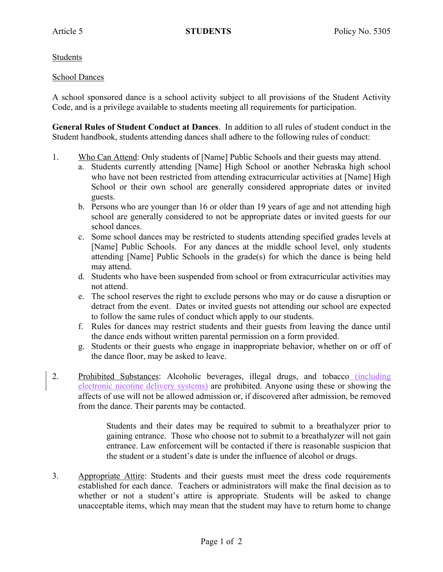Students

## School Dances

A school sponsored dance is a school activity subject to all provisions of the Student Activity Code, and is a privilege available to students meeting all requirements for participation.

**General Rules of Student Conduct at Dances**. In addition to all rules of student conduct in the Student handbook, students attending dances shall adhere to the following rules of conduct:

- 1. Who Can Attend: Only students of [Name] Public Schools and their guests may attend.
	- a. Students currently attending [Name] High School or another Nebraska high school who have not been restricted from attending extracurricular activities at [Name] High School or their own school are generally considered appropriate dates or invited guests.
	- b. Persons who are younger than 16 or older than 19 years of age and not attending high school are generally considered to not be appropriate dates or invited guests for our school dances.
	- c. Some school dances may be restricted to students attending specified grades levels at [Name] Public Schools. For any dances at the middle school level, only students attending [Name] Public Schools in the grade(s) for which the dance is being held may attend.
	- d. Students who have been suspended from school or from extracurricular activities may not attend.
	- e. The school reserves the right to exclude persons who may or do cause a disruption or detract from the event. Dates or invited guests not attending our school are expected to follow the same rules of conduct which apply to our students.
	- f. Rules for dances may restrict students and their guests from leaving the dance until the dance ends without written parental permission on a form provided.
	- g. Students or their guests who engage in inappropriate behavior, whether on or off of the dance floor, may be asked to leave.
- 2. Prohibited Substances: Alcoholic beverages, illegal drugs, and tobacco (including electronic nicotine delivery systems) are prohibited. Anyone using these or showing the affects of use will not be allowed admission or, if discovered after admission, be removed from the dance. Their parents may be contacted.

Students and their dates may be required to submit to a breathalyzer prior to gaining entrance. Those who choose not to submit to a breathalyzer will not gain entrance. Law enforcement will be contacted if there is reasonable suspicion that the student or a student's date is under the influence of alcohol or drugs.

3. Appropriate Attire: Students and their guests must meet the dress code requirements established for each dance. Teachers or administrators will make the final decision as to whether or not a student's attire is appropriate. Students will be asked to change unacceptable items, which may mean that the student may have to return home to change